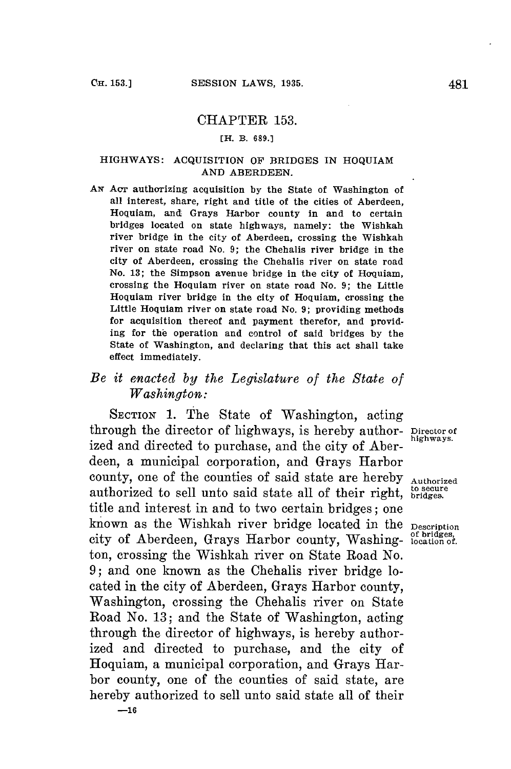## CHAPTER **153.**

## **[H. B. 689.]**

## HIGHWAYS: **ACQUISITION** OF BRIDGES IN HOQUIAM **AND ABERDEEN.**

**AN** Acr authorizing acquisition **by** the State of Washington of all interest, share, right and title of the cities of Aberdeen, Hoquiam, and Grays Harbor county in and to certain bridges located on state highways, namely: the Wishkah river bridge in the city of Aberdeen, crossing the Wishkah river on state road No. **9;** the Chehalis river bridge in the city of Aberdeen, crossing the Chehalis river on state road No. **13;** the Simpson avenue bridge in the city of Hoquiam, crossing the Hoquiam river on state road No. **9;** the Little Hoquiam river bridge in the city of Hoquiam, crossing the Little Hoquiam river on state road No. **9;** providing methods for acquisition thereof and payment therefor, and providing for the operation and control of said bridges **by** the State of Washington, and declaring that this act shall take effect immediately.

## *Be it enacted by the Legislature of the State of Washington:*

SECTION **1.** The State of Washington, acting through the director of highways, is hereby author- **Director of** ized and directed to purchase, and the city of Aberdeen, a municipal corporation, and Grays Harbor county, one of the counties of said state are hereby **Authorized** authorized to sell unto said state all of their right, **bridges**. title and interest in and to two certain bridges; one<br>known as the Wishkah river bridge located in the Description city of Aberdeen, Grays Harbor county, Washing- **bridges**, city of Aberdeen, Grays Harbor county, Washing- **bridges**, ton, crossing the Wishkah river on State Road No. **9;** and one known as the Chehalis river bridge located in the city of Aberdeen, Grays Harbor county, Washington, crossing the Chehalis river on State Road No. **13;** and the State of Washington, acting through the director of highways, is hereby authorized and directed to purchase, and the city of Hoquiam, a municipal corporation, and Grays Harbor county, one of the counties of said state, are hereby authorized to sell unto said state all of their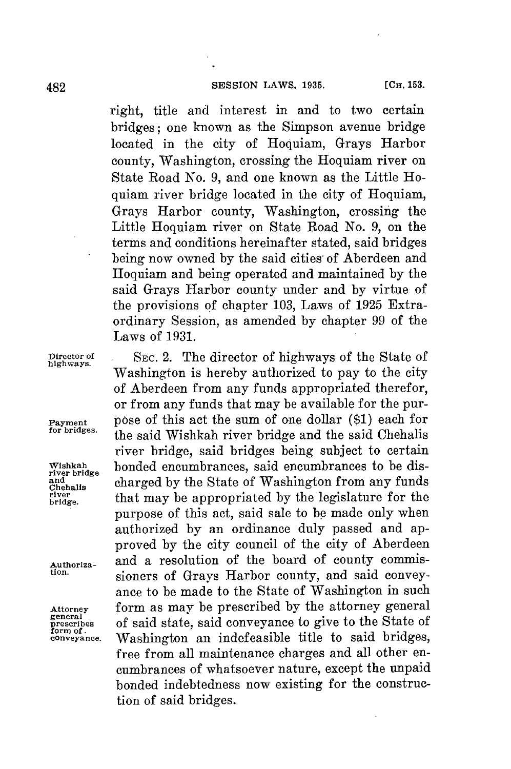right, title and interest in and to two certain bridges; one known as the Simpson avenue bridge located in the city of Hoquiam, Grays Harbor county, Washington, crossing the Hoquiam river on State Road No. **9,** and one known as the Little Hoquiam river bridge located in the city of Hoquiam, Grays Harbor county, Washington, crossing the Little Hoquiam river on State Road No. **9,** on the terms and conditions hereinafter stated, said bridges being now owned **by** the said cities of Aberdeen and Hoquiam and being operated and maintained **by** the said Grays Harbor county under and **by** virtue of the provisions **of** chapter **103,** Laws of **1925** Extraordinary Session, as amended **by** chapter **99** of the Laws of **1931.**

river bridge

**Director of SEc.** 2. The director of highways of the State of **highways.** Washington is hereby authorized to pay to the city of Aberdeen from any funds appropriated therefor, or from any funds that may be available for the pur-**Payment** pose of this act the sum of one dollar (\$1) each for for bridges. **for bridges.** the said Wishkah river bridge and the said Chehalis river bridge, said bridges being subject to certain **Wishkah** bonded encumbrances, said encumbrances to be disand charged by the State of Washington from any funds<br>chehalls that may be appropriated by the legislature for the **brivge** that may be appropriated **by** the legislature for the purpose of this act, said sale to **be** made only when authorized **by** an ordinance duly passed and approved **by** the city council of the city of Aberdeen Authoriza- and a resolution of the board of county commissioners of Grays Harbor county, and said conveyance to be made to the State of Washington in such Attorney form as may be prescribed by the attorney general greecibles of said state, said conveyance to give to the State of **prescribes** of said state, said conveyance to give to the State of form of **cnveyance.** Washington an indefeasible title to said bridges, free from all maintenance charges and all other encumbrances of whatsoever nature, except the unpaid bonded indebtedness now existing for the construction of said bridges.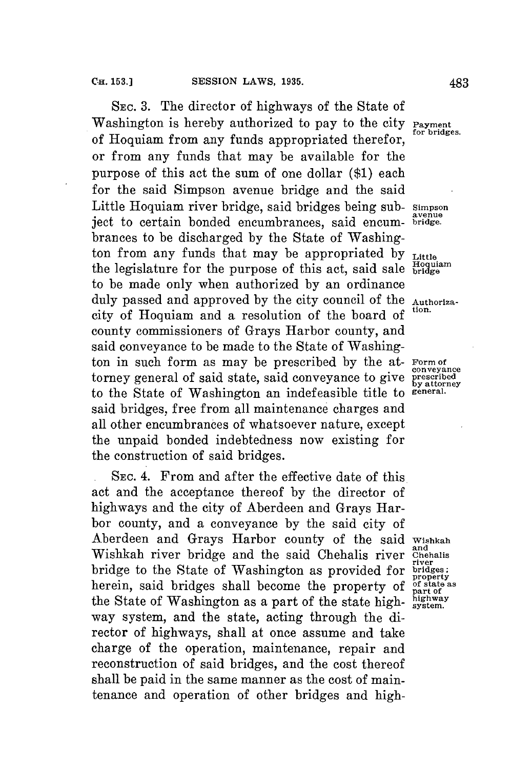**SEC. 3.** The director of highways of the State of Washington is hereby authorized to pay to the city **Payment**<br>for prides. of Hoquiam from any funds appropriated therefor, or from any funds that may be available for the purpose of this act the sum of one dollar **(\$1)** each for the said Simpson avenue bridge and the said Little Hoquiam river bridge, said bridges being sub- **simpson avenue** ject to certain bonded encumbrances, said encum- **bridge.** brances to be discharged **by** the State of Washington from any funds that may be appropriated by **Little** the legislature for the purpose of this act, said sale bridge to be made only when authorized **by** an ordinance duly passed and approved **by** the city council of the **Authoriza**city of Hoquiam and a resolution of the board of county commissioners of Grays Harbor county, and said conveyance to be made to the State of Washington in such form as may be prescribed **by** the at- **Form of** torney general of said state, said conveyance to give to the State of Washington an indefeasible title to **general.** said bridges, free from all maintenance charges and all other encumbrances of whatsoever nature, except the unpaid bonded indebtedness now existing for the construction of said bridges.

**SEC.** 4. From and after the effective date of this act and the acceptance thereof **by** the director of highways and the city of Aberdeen and Grays Harbor county, and a conveyance **by** the said city of Aberdeen and Grays Harbor county of the said **Wishkah** Wishkah river bridge and the said Chehalis river Chehalis bridge to the State of Washington as provided for **bridges;** herein, said bridges shall become the property of  $\frac{\delta f \sin t}{\delta t}$  the State of Westington as a part of the state high highway the State of Washington as a part of the state high-highway way system, and the state, acting through the director of highways, shall at once assume and take charge of the operation, maintenance, repair and reconstruction of said bridges, and the cost thereof shall be paid in the same manner as the cost of maintenance and operation of other bridges and high-

**conveyance by attorney**

**property**